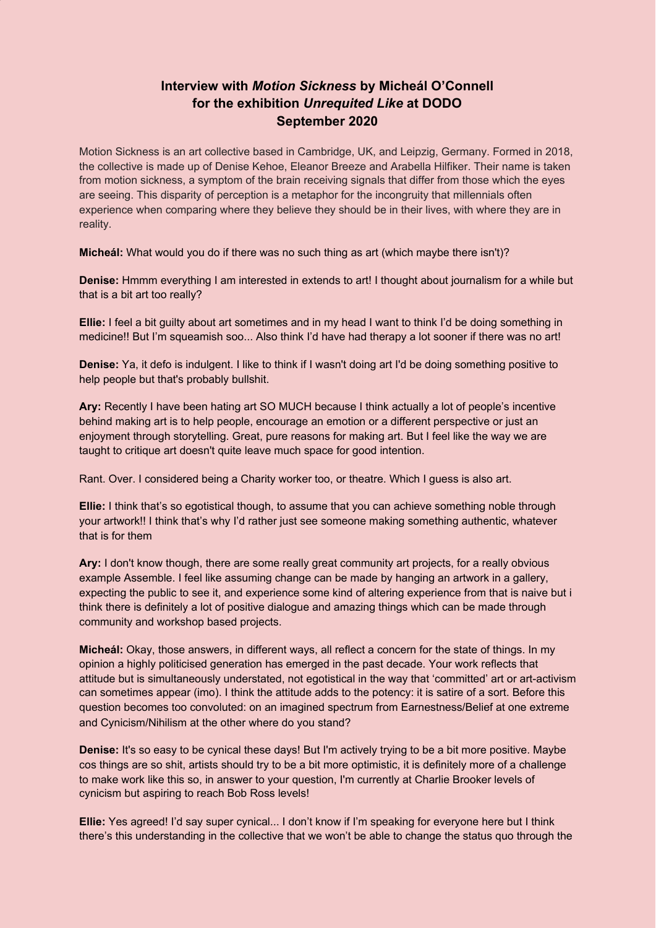## **Interview with** *Motion Sickness* **by Micheál O'Connell for the exhibition** *Unrequited Like* **at DODO September 2020**

Motion Sickness is an art collective based in Cambridge, UK, and Leipzig, Germany. Formed in 2018, the collective is made up of Denise Kehoe, Eleanor Breeze and Arabella Hilfiker. Their name is taken from motion sickness, a symptom of the brain receiving signals that differ from those which the eyes are seeing. This disparity of perception is a metaphor for the incongruity that millennials often experience when comparing where they believe they should be in their lives, with where they are in reality.

**Micheál:** What would you do if there was no such thing as art (which maybe there isn't)?

**Denise:** Hmmm everything I am interested in extends to art! I thought about journalism for a while but that is a bit art too really?

**Ellie:** I feel a bit guilty about art sometimes and in my head I want to think I'd be doing something in medicine!! But I'm squeamish soo... Also think I'd have had therapy a lot sooner if there was no art!

**Denise:** Ya, it defo is indulgent. I like to think if I wasn't doing art I'd be doing something positive to help people but that's probably bullshit.

**Ary:** Recently I have been hating art SO MUCH because I think actually a lot of people's incentive behind making art is to help people, encourage an emotion or a different perspective or just an enjoyment through storytelling. Great, pure reasons for making art. But I feel like the way we are taught to critique art doesn't quite leave much space for good intention.

Rant. Over. I considered being a Charity worker too, or theatre. Which I guess is also art.

**Ellie:** I think that's so egotistical though, to assume that you can achieve something noble through your artwork!! I think that's why I'd rather just see someone making something authentic, whatever that is for them

**Ary:** I don't know though, there are some really great community art projects, for a really obvious example Assemble. I feel like assuming change can be made by hanging an artwork in a gallery, expecting the public to see it, and experience some kind of altering experience from that is naive but i think there is definitely a lot of positive dialogue and amazing things which can be made through community and workshop based projects.

**Micheál:** Okay, those answers, in different ways, all reflect a concern for the state of things. In my opinion a highly politicised generation has emerged in the past decade. Your work reflects that attitude but is simultaneously understated, not egotistical in the way that 'committed' art or art-activism can sometimes appear (imo). I think the attitude adds to the potency: it is satire of a sort. Before this question becomes too convoluted: on an imagined spectrum from Earnestness/Belief at one extreme and Cynicism/Nihilism at the other where do you stand?

**Denise:** It's so easy to be cynical these days! But I'm actively trying to be a bit more positive. Maybe cos things are so shit, artists should try to be a bit more optimistic, it is definitely more of a challenge to make work like this so, in answer to your question, I'm currently at Charlie Brooker levels of cynicism but aspiring to reach Bob Ross levels!

**Ellie:** Yes agreed! I'd say super cynical... I don't know if I'm speaking for everyone here but I think there's this understanding in the collective that we won't be able to change the status quo through the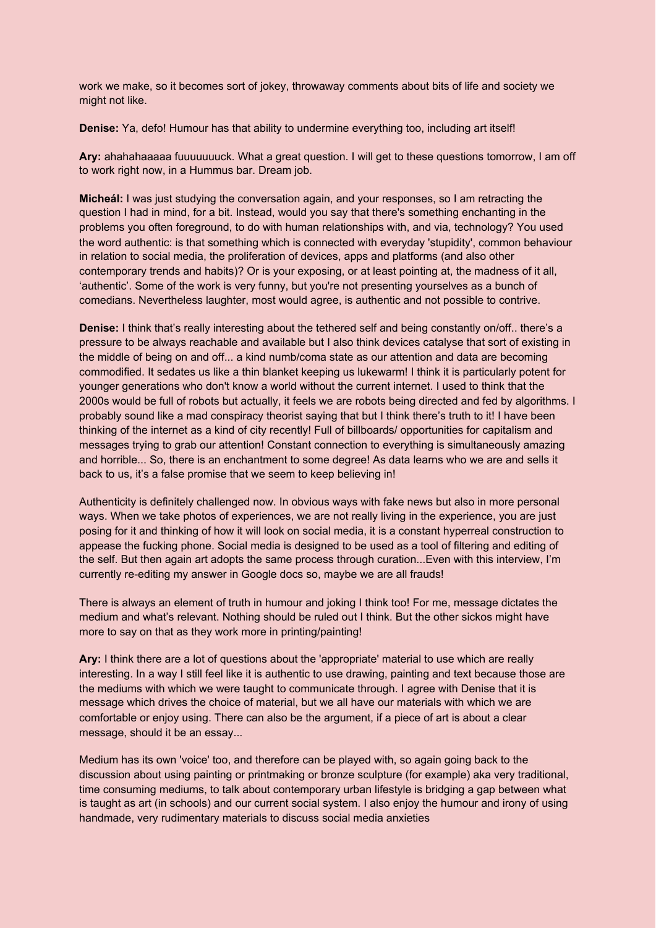work we make, so it becomes sort of jokey, throwaway comments about bits of life and society we might not like.

**Denise:** Ya, defo! Humour has that ability to undermine everything too, including art itself!

**Ary:** ahahahaaaaa fuuuuuuuck. What a great question. I will get to these questions tomorrow, I am off to work right now, in a Hummus bar. Dream job.

**Micheál:** I was just studying the conversation again, and your responses, so I am retracting the question I had in mind, for a bit. Instead, would you say that there's something enchanting in the problems you often foreground, to do with human relationships with, and via, technology? You used the word authentic: is that something which is connected with everyday 'stupidity', common behaviour in relation to social media, the proliferation of devices, apps and platforms (and also other contemporary trends and habits)? Or is your exposing, or at least pointing at, the madness of it all, 'authentic'. Some of the work is very funny, but you're not presenting yourselves as a bunch of comedians. Nevertheless laughter, most would agree, is authentic and not possible to contrive.

**Denise:** I think that's really interesting about the tethered self and being constantly on/off.. there's a pressure to be always reachable and available but I also think devices catalyse that sort of existing in the middle of being on and off... a kind numb/coma state as our attention and data are becoming commodified. It sedates us like a thin blanket keeping us lukewarm! I think it is particularly potent for younger generations who don't know a world without the current internet. I used to think that the 2000s would be full of robots but actually, it feels we are robots being directed and fed by algorithms. I probably sound like a mad conspiracy theorist saying that but I think there's truth to it! I have been thinking of the internet as a kind of city recently! Full of billboards/ opportunities for capitalism and messages trying to grab our attention! Constant connection to everything is simultaneously amazing and horrible... So, there is an enchantment to some degree! As data learns who we are and sells it back to us, it's a false promise that we seem to keep believing in!

Authenticity is definitely challenged now. In obvious ways with fake news but also in more personal ways. When we take photos of experiences, we are not really living in the experience, you are just posing for it and thinking of how it will look on social media, it is a constant hyperreal construction to appease the fucking phone. Social media is designed to be used as a tool of filtering and editing of the self. But then again art adopts the same process through curation...Even with this interview, I'm currently re-editing my answer in Google docs so, maybe we are all frauds!

There is always an element of truth in humour and joking I think too! For me, message dictates the medium and what's relevant. Nothing should be ruled out I think. But the other sickos might have more to say on that as they work more in printing/painting!

**Ary:** I think there are a lot of questions about the 'appropriate' material to use which are really interesting. In a way I still feel like it is authentic to use drawing, painting and text because those are the mediums with which we were taught to communicate through. I agree with Denise that it is message which drives the choice of material, but we all have our materials with which we are comfortable or enjoy using. There can also be the argument, if a piece of art is about a clear message, should it be an essay...

Medium has its own 'voice' too, and therefore can be played with, so again going back to the discussion about using painting or printmaking or bronze sculpture (for example) aka very traditional, time consuming mediums, to talk about contemporary urban lifestyle is bridging a gap between what is taught as art (in schools) and our current social system. I also enjoy the humour and irony of using handmade, very rudimentary materials to discuss social media anxieties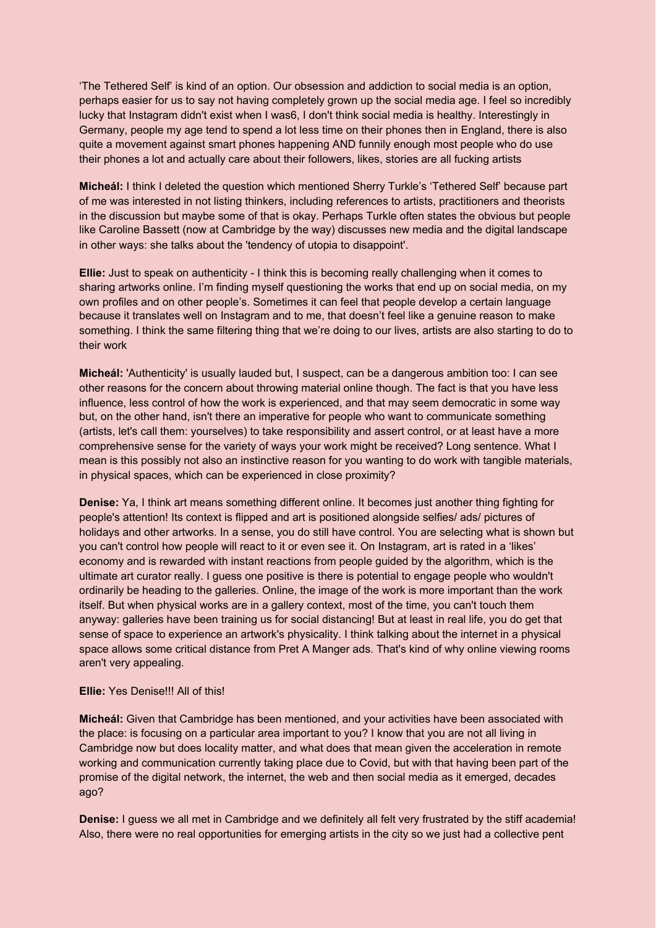'The Tethered Self' is kind of an option. Our obsession and addiction to social media is an option, perhaps easier for us to say not having completely grown up the social media age. I feel so incredibly lucky that Instagram didn't exist when I was6, I don't think social media is healthy. Interestingly in Germany, people my age tend to spend a lot less time on their phones then in England, there is also quite a movement against smart phones happening AND funnily enough most people who do use their phones a lot and actually care about their followers, likes, stories are all fucking artists

**Micheál:** I think I deleted the question which mentioned Sherry Turkle's 'Tethered Self' because part of me was interested in not listing thinkers, including references to artists, practitioners and theorists in the discussion but maybe some of that is okay. Perhaps Turkle often states the obvious but people like Caroline Bassett (now at Cambridge by the way) discusses new media and the digital landscape in other ways: she talks about the 'tendency of utopia to disappoint'.

**Ellie:** Just to speak on authenticity - I think this is becoming really challenging when it comes to sharing artworks online. I'm finding myself questioning the works that end up on social media, on my own profiles and on other people's. Sometimes it can feel that people develop a certain language because it translates well on Instagram and to me, that doesn't feel like a genuine reason to make something. I think the same filtering thing that we're doing to our lives, artists are also starting to do to their work

**Micheál:** 'Authenticity' is usually lauded but, I suspect, can be a dangerous ambition too: I can see other reasons for the concern about throwing material online though. The fact is that you have less influence, less control of how the work is experienced, and that may seem democratic in some way but, on the other hand, isn't there an imperative for people who want to communicate something (artists, let's call them: yourselves) to take responsibility and assert control, or at least have a more comprehensive sense for the variety of ways your work might be received? Long sentence. What I mean is this possibly not also an instinctive reason for you wanting to do work with tangible materials, in physical spaces, which can be experienced in close proximity?

**Denise:** Ya, I think art means something different online. It becomes just another thing fighting for people's attention! Its context is flipped and art is positioned alongside selfies/ ads/ pictures of holidays and other artworks. In a sense, you do still have control. You are selecting what is shown but you can't control how people will react to it or even see it. On Instagram, art is rated in a 'likes' economy and is rewarded with instant reactions from people guided by the algorithm, which is the ultimate art curator really. I guess one positive is there is potential to engage people who wouldn't ordinarily be heading to the galleries. Online, the image of the work is more important than the work itself. But when physical works are in a gallery context, most of the time, you can't touch them anyway: galleries have been training us for social distancing! But at least in real life, you do get that sense of space to experience an artwork's physicality. I think talking about the internet in a physical space allows some critical distance from Pret A Manger ads. That's kind of why online viewing rooms aren't very appealing.

## **Ellie:** Yes Denise!!! All of this!

**Micheál:** Given that Cambridge has been mentioned, and your activities have been associated with the place: is focusing on a particular area important to you? I know that you are not all living in Cambridge now but does locality matter, and what does that mean given the acceleration in remote working and communication currently taking place due to Covid, but with that having been part of the promise of the digital network, the internet, the web and then social media as it emerged, decades ago?

**Denise:** I guess we all met in Cambridge and we definitely all felt very frustrated by the stiff academia! Also, there were no real opportunities for emerging artists in the city so we just had a collective pent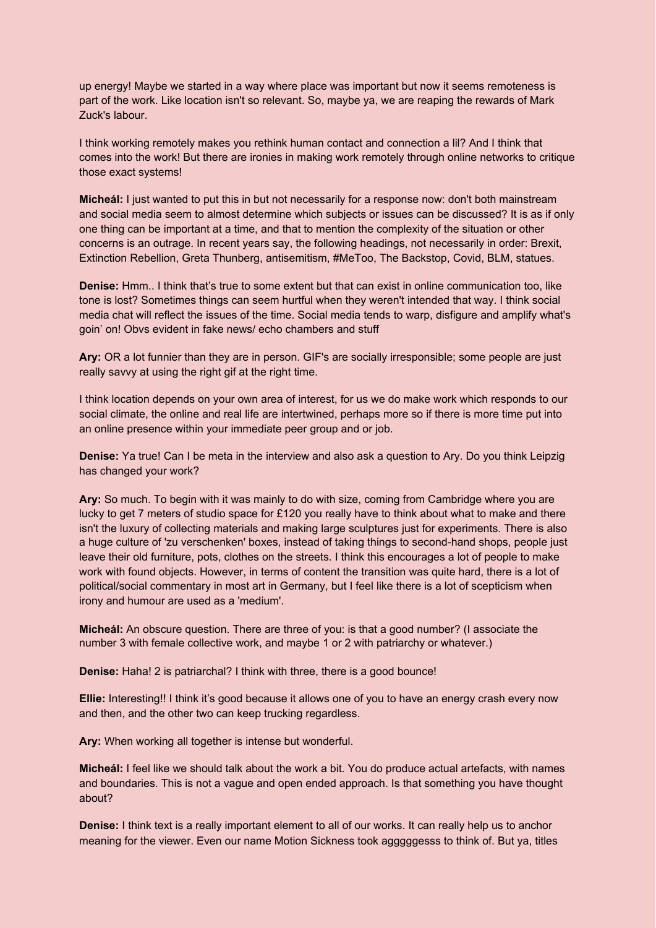up energy! Maybe we started in a way where place was important but now it seems remoteness is part of the work. Like location isn't so relevant. So, maybe ya, we are reaping the rewards of Mark Zuck's labour.

I think working remotely makes you rethink human contact and connection a lil? And I think that comes into the work! But there are ironies in making work remotely through online networks to critique those exact systems!

**Micheál:** I just wanted to put this in but not necessarily for a response now: don't both mainstream and social media seem to almost determine which subjects or issues can be discussed? It is as if only one thing can be important at a time, and that to mention the complexity of the situation or other concerns is an outrage. In recent years say, the following headings, not necessarily in order: Brexit, Extinction Rebellion, Greta Thunberg, antisemitism, #MeToo, The Backstop, Covid, BLM, statues.

**Denise:** Hmm.. I think that's true to some extent but that can exist in online communication too, like tone is lost? Sometimes things can seem hurtful when they weren't intended that way. I think social media chat will reflect the issues of the time. Social media tends to warp, disfigure and amplify what's goin' on! Obvs evident in fake news/ echo chambers and stuff

**Ary:** OR a lot funnier than they are in person. GIF's are socially irresponsible; some people are just really savvy at using the right gif at the right time.

I think location depends on your own area of interest, for us we do make work which responds to our social climate, the online and real life are intertwined, perhaps more so if there is more time put into an online presence within your immediate peer group and or job.

**Denise:** Ya true! Can I be meta in the interview and also ask a question to Ary. Do you think Leipzig has changed your work?

**Ary:** So much. To begin with it was mainly to do with size, coming from Cambridge where you are lucky to get 7 meters of studio space for £120 you really have to think about what to make and there isn't the luxury of collecting materials and making large sculptures just for experiments. There is also a huge culture of 'zu verschenken' boxes, instead of taking things to second-hand shops, people just leave their old furniture, pots, clothes on the streets. I think this encourages a lot of people to make work with found objects. However, in terms of content the transition was quite hard, there is a lot of political/social commentary in most art in Germany, but I feel like there is a lot of scepticism when irony and humour are used as a 'medium'.

**Micheál:** An obscure question. There are three of you: is that a good number? (I associate the number 3 with female collective work, and maybe 1 or 2 with patriarchy or whatever.)

**Denise:** Haha! 2 is patriarchal? I think with three, there is a good bounce!

**Ellie:** Interesting!! I think it's good because it allows one of you to have an energy crash every now and then, and the other two can keep trucking regardless.

**Ary:** When working all together is intense but wonderful.

**Micheál:** I feel like we should talk about the work a bit. You do produce actual artefacts, with names and boundaries. This is not a vague and open ended approach. Is that something you have thought about?

**Denise:** I think text is a really important element to all of our works. It can really help us to anchor meaning for the viewer. Even our name Motion Sickness took agggggesss to think of. But ya, titles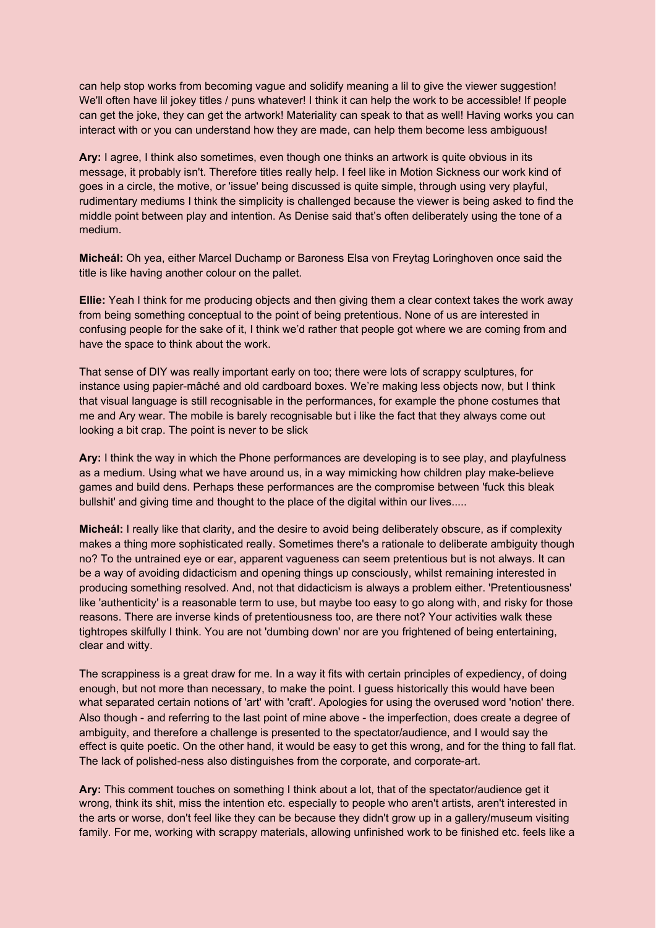can help stop works from becoming vague and solidify meaning a lil to give the viewer suggestion! We'll often have lil jokey titles / puns whatever! I think it can help the work to be accessible! If people can get the joke, they can get the artwork! Materiality can speak to that as well! Having works you can interact with or you can understand how they are made, can help them become less ambiguous!

**Ary:** I agree, I think also sometimes, even though one thinks an artwork is quite obvious in its message, it probably isn't. Therefore titles really help. I feel like in Motion Sickness our work kind of goes in a circle, the motive, or 'issue' being discussed is quite simple, through using very playful, rudimentary mediums I think the simplicity is challenged because the viewer is being asked to find the middle point between play and intention. As Denise said that's often deliberately using the tone of a medium.

**Micheál:** Oh yea, either Marcel Duchamp or Baroness Elsa von Freytag Loringhoven once said the title is like having another colour on the pallet.

**Ellie:** Yeah I think for me producing objects and then giving them a clear context takes the work away from being something conceptual to the point of being pretentious. None of us are interested in confusing people for the sake of it, I think we'd rather that people got where we are coming from and have the space to think about the work.

That sense of DIY was really important early on too; there were lots of scrappy sculptures, for instance using papier-mâché and old cardboard boxes. We're making less objects now, but I think that visual language is still recognisable in the performances, for example the phone costumes that me and Ary wear. The mobile is barely recognisable but i like the fact that they always come out looking a bit crap. The point is never to be slick

**Ary:** I think the way in which the Phone performances are developing is to see play, and playfulness as a medium. Using what we have around us, in a way mimicking how children play make-believe games and build dens. Perhaps these performances are the compromise between 'fuck this bleak bullshit' and giving time and thought to the place of the digital within our lives.....

**Micheál:** I really like that clarity, and the desire to avoid being deliberately obscure, as if complexity makes a thing more sophisticated really. Sometimes there's a rationale to deliberate ambiguity though no? To the untrained eye or ear, apparent vagueness can seem pretentious but is not always. It can be a way of avoiding didacticism and opening things up consciously, whilst remaining interested in producing something resolved. And, not that didacticism is always a problem either. 'Pretentiousness' like 'authenticity' is a reasonable term to use, but maybe too easy to go along with, and risky for those reasons. There are inverse kinds of pretentiousness too, are there not? Your activities walk these tightropes skilfully I think. You are not 'dumbing down' nor are you frightened of being entertaining, clear and witty.

The scrappiness is a great draw for me. In a way it fits with certain principles of expediency, of doing enough, but not more than necessary, to make the point. I guess historically this would have been what separated certain notions of 'art' with 'craft'. Apologies for using the overused word 'notion' there. Also though - and referring to the last point of mine above - the imperfection, does create a degree of ambiguity, and therefore a challenge is presented to the spectator/audience, and I would say the effect is quite poetic. On the other hand, it would be easy to get this wrong, and for the thing to fall flat. The lack of polished-ness also distinguishes from the corporate, and corporate-art.

**Ary:** This comment touches on something I think about a lot, that of the spectator/audience get it wrong, think its shit, miss the intention etc. especially to people who aren't artists, aren't interested in the arts or worse, don't feel like they can be because they didn't grow up in a gallery/museum visiting family. For me, working with scrappy materials, allowing unfinished work to be finished etc. feels like a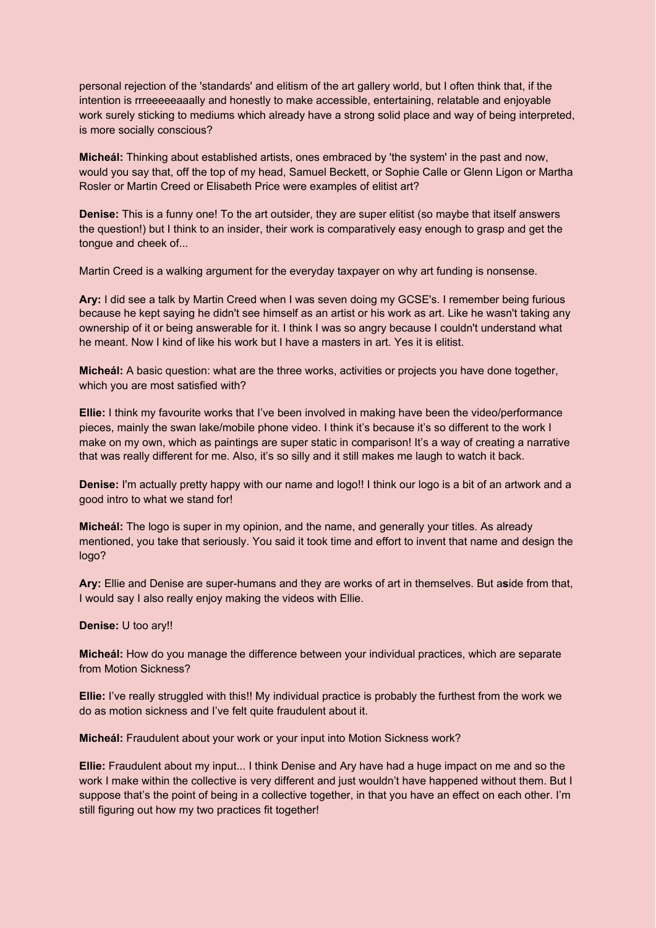personal rejection of the 'standards' and elitism of the art gallery world, but I often think that, if the intention is rrreeeeeaaally and honestly to make accessible, entertaining, relatable and enjoyable work surely sticking to mediums which already have a strong solid place and way of being interpreted, is more socially conscious?

**Micheál:** Thinking about established artists, ones embraced by 'the system' in the past and now, would you say that, off the top of my head, Samuel Beckett, or Sophie Calle or Glenn Ligon or Martha Rosler or Martin Creed or Elisabeth Price were examples of elitist art?

**Denise:** This is a funny one! To the art outsider, they are super elitist (so maybe that itself answers the question!) but I think to an insider, their work is comparatively easy enough to grasp and get the tongue and cheek of...

Martin Creed is a walking argument for the everyday taxpayer on why art funding is nonsense.

**Ary:** I did see a talk by Martin Creed when I was seven doing my GCSE's. I remember being furious because he kept saying he didn't see himself as an artist or his work as art. Like he wasn't taking any ownership of it or being answerable for it. I think I was so angry because I couldn't understand what he meant. Now I kind of like his work but I have a masters in art. Yes it is elitist.

**Micheál:** A basic question: what are the three works, activities or projects you have done together, which you are most satisfied with?

**Ellie:** I think my favourite works that I've been involved in making have been the video/performance pieces, mainly the swan lake/mobile phone video. I think it's because it's so different to the work I make on my own, which as paintings are super static in comparison! It's a way of creating a narrative that was really different for me. Also, it's so silly and it still makes me laugh to watch it back.

**Denise:** I'm actually pretty happy with our name and logo!! I think our logo is a bit of an artwork and a good intro to what we stand for!

**Micheál:** The logo is super in my opinion, and the name, and generally your titles. As already mentioned, you take that seriously. You said it took time and effort to invent that name and design the logo?

**Ary:** Ellie and Denise are super-humans and they are works of art in themselves. But a**s**ide from that, I would say I also really enjoy making the videos with Ellie.

**Denise:** U too ary!!

**Micheál:** How do you manage the difference between your individual practices, which are separate from Motion Sickness?

**Ellie:** I've really struggled with this!! My individual practice is probably the furthest from the work we do as motion sickness and I've felt quite fraudulent about it.

**Micheál:** Fraudulent about your work or your input into Motion Sickness work?

**Ellie:** Fraudulent about my input... I think Denise and Ary have had a huge impact on me and so the work I make within the collective is very different and just wouldn't have happened without them. But I suppose that's the point of being in a collective together, in that you have an effect on each other. I'm still figuring out how my two practices fit together!